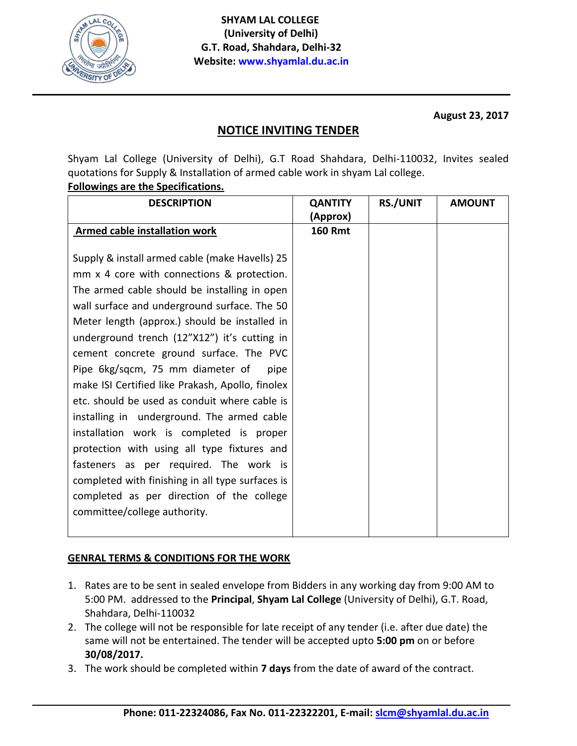

**August 23, 2017**

## **NOTICE INVITING TENDER**

Shyam Lal College (University of Delhi), G.T Road Shahdara, Delhi-110032, Invites sealed quotations for Supply & Installation of armed cable work in shyam Lal college.

## **Followings are the Specifications.**

| <b>DESCRIPTION</b>                               | <b>QANTITY</b> | <b>RS./UNIT</b> | <b>AMOUNT</b> |
|--------------------------------------------------|----------------|-----------------|---------------|
|                                                  | (Approx)       |                 |               |
| <b>Armed cable installation work</b>             | <b>160 Rmt</b> |                 |               |
|                                                  |                |                 |               |
| Supply & install armed cable (make Havells) 25   |                |                 |               |
| mm x 4 core with connections & protection.       |                |                 |               |
| The armed cable should be installing in open     |                |                 |               |
| wall surface and underground surface. The 50     |                |                 |               |
| Meter length (approx.) should be installed in    |                |                 |               |
| underground trench (12"X12") it's cutting in     |                |                 |               |
| cement concrete ground surface. The PVC          |                |                 |               |
| Pipe 6kg/sqcm, 75 mm diameter of<br>pipe         |                |                 |               |
| make ISI Certified like Prakash, Apollo, finolex |                |                 |               |
| etc. should be used as conduit where cable is    |                |                 |               |
| installing in underground. The armed cable       |                |                 |               |
| installation work is completed is proper         |                |                 |               |
| protection with using all type fixtures and      |                |                 |               |
| fasteners as per required. The work is           |                |                 |               |
| completed with finishing in all type surfaces is |                |                 |               |
| completed as per direction of the college        |                |                 |               |
| committee/college authority.                     |                |                 |               |
|                                                  |                |                 |               |

## **GENRAL TERMS & CONDITIONS FOR THE WORK**

- 1. Rates are to be sent in sealed envelope from Bidders in any working day from 9:00 AM to 5:00 PM. addressed to the **Principal**, **Shyam Lal College** (University of Delhi), G.T. Road, Shahdara, Delhi-110032
- 2. The college will not be responsible for late receipt of any tender (i.e. after due date) the same will not be entertained. The tender will be accepted upto **5:00 pm** on or before **30/08/2017.**
- 3. The work should be completed within **7 days** from the date of award of the contract.